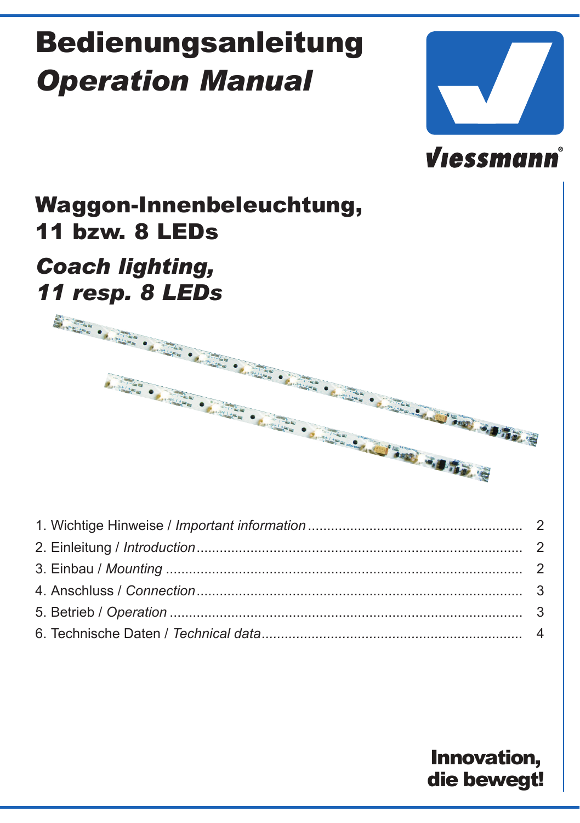# Bedienungsanleitung *Operation Manual*



# **Viessmann**

## Waggon-Innenbeleuchtung, 11 bzw. 8 LEDs

# *Coach lighting,*



## Innovation, die bewegt!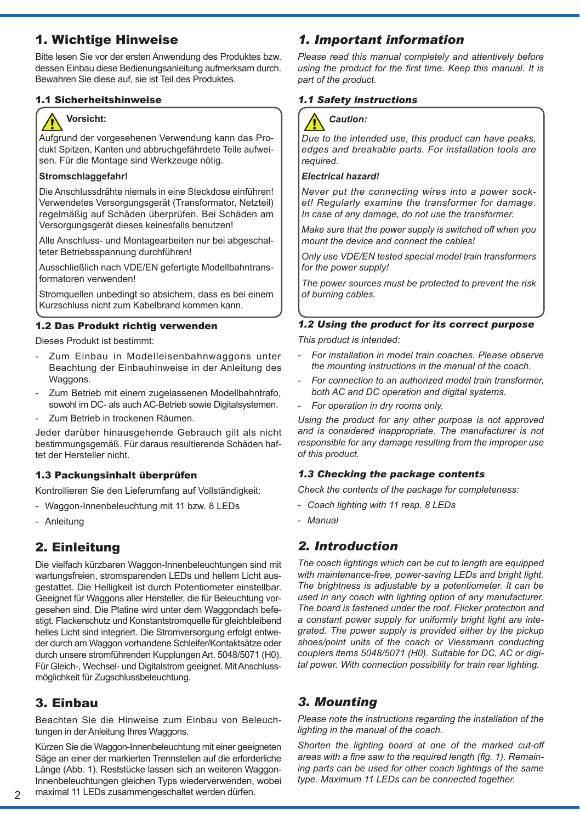## 1. Wichtige Hinweise

Bitte lesen Sie vor der ersten Anwendung des Produktes bzw. dessen Einbau diese Bedienungsanleitung aufmerksam durch. Bewahren Sie diese auf, sie ist Teil des Produktes.

#### 1.1 Sicherheitshinweise



### **Vorsicht:**

Aufgrund der vorgesehenen Verwendung kann das Produkt Spitzen, Kanten und abbruchgefährdete Teile aufweisen. Für die Montage sind Werkzeuge nötig.

#### **Stromschlaggefahr!**

Die Anschlussdrähte niemals in eine Steckdose einführen! Verwendetes Versorgungsgerät (Transformator, Netzteil) regelmäßig auf Schäden überprüfen. Bei Schäden am Versorgungsgerät dieses keinesfalls benutzen!

Alle Anschluss- und Montagearbeiten nur bei abgeschalteter Betriebsspannung durchführen!

Ausschließlich nach VDE/EN gefertigte Modellbahntransformatoren verwenden!

Stromquellen unbedingt so absichern, dass es bei einem Kurzschluss nicht zum Kabelbrand kommen kann.

#### 1.2 Das Produkt richtig verwenden

Dieses Produkt ist bestimmt:

- Zum Einbau in Modelleisenbahnwaggons unter Beachtung der Einbauhinweise in der Anleitung des Waggons.
- Zum Betrieb mit einem zugelassenen Modellbahntrafo, sowohl im DC- als auch AC-Betrieb sowie Digitalsystemen.
- Zum Betrieb in trockenen Räumen.

Jeder darüber hinausgehende Gebrauch gilt als nicht bestimmungsgemäß. Für daraus resultierende Schäden haftet der Hersteller nicht.

#### 1.3 Packungsinhalt überprüfen

Kontrollieren Sie den Lieferumfang auf Vollständigkeit:

- Waggon-Innenbeleuchtung mit 11 bzw. 8 LEDs
- Anleitung

## 2. Einleitung

Die vielfach kürzbaren Waggon-Innenbeleuchtungen sind mit wartungsfreien, stromsparenden LEDs und hellem Licht ausgestattet. Die Helligkeit ist durch Potentiometer einstellbar. Geeignet für Waggons aller Hersteller, die für Beleuchtung vorgesehen sind. Die Platine wird unter dem Waggondach befestigt. Flackerschutz und Konstantstromquelle für gleichbleibend helles Licht sind integriert. Die Stromversorgung erfolgt entweder durch am Waggon vorhandene Schleifer/Kontaktsätze oder durch unsere stromführenden Kupplungen Art. 5048/5071 (H0). Für Gleich-, Wechsel- und Digitalstrom geeignet. Mit Anschlussmöglichkeit für Zugschlussbeleuchtung.

## 3. Einbau

Beachten Sie die Hinweise zum Einbau von Beleuchtungen in der Anleitung Ihres Waggons.

Kürzen Sie die Waggon-Innenbeleuchtung mit einer geeigneten Säge an einer der markierten Trennstellen auf die erforderliche Länge (Abb. 1). Reststücke lassen sich an weiteren Waggon-Innenbeleuchtungen gleichen Typs wiederverwenden, wobei maximal 11 LEDs zusammengeschaltet werden dürfen.

## *1. Important information*

*Please read this manual completely and attentively before using the product for the first time. Keep this manual. It is part of the product.* 

## *1.1 Safety instructions*



*Due to the intended use, this product can have peaks, edges and breakable parts. For installation tools are required.*

#### *Electrical hazard!*

*Never put the connecting wires into a power socket! Regularly examine the transformer for damage. In case of any damage, do not use the transformer.*

*Make sure that the power supply is switched off when you mount the device and connect the cables!*

*Only use VDE/EN tested special model train transformers for the power supply!*

*The power sources must be protected to prevent the risk of burning cables.*

#### *1.2 Using the product for its correct purpose*

*This product is intended:*

- *- For installation in model train coaches. Please observe the mounting instructions in the manual of the coach.*
- *- For connection to an authorized model train transformer, both AC and DC operation and digital systems.*
- *- For operation in dry rooms only.*

*Using the product for any other purpose is not approved and is considered inappropriate. The manufacturer is not responsible for any damage resulting from the improper use of this product.*

#### *1.3 Checking the package contents*

*Check the contents of the package for completeness:*

- *- Coach lighting with 11 resp. 8 LEDs*
- *- Manual*

## *2. Introduction*

*The coach lightings which can be cut to length are equipped with maintenance-free, power-saving LEDs and bright light. The brightness is adjustable by a potentiometer. It can be used in any coach with lighting option of any manufacturer. The board is fastened under the roof. Flicker protection and a constant power supply for uniformly bright light are integrated. The power supply is provided either by the pickup shoes/point units of the coach or Viessmann conducting couplers items 5048/5071 (H0). Suitable for DC, AC or digital power. With connection possibility for train rear lighting.*

## *3. Mounting*

*Please note the instructions regarding the installation of the lighting in the manual of the coach.*

*Shorten the lighting board at one of the marked cut-off areas with a fine saw to the required length (fig. 1). Remaining parts can be used for other coach lightings of the same type. Maximum 11 LEDs can be connected together.*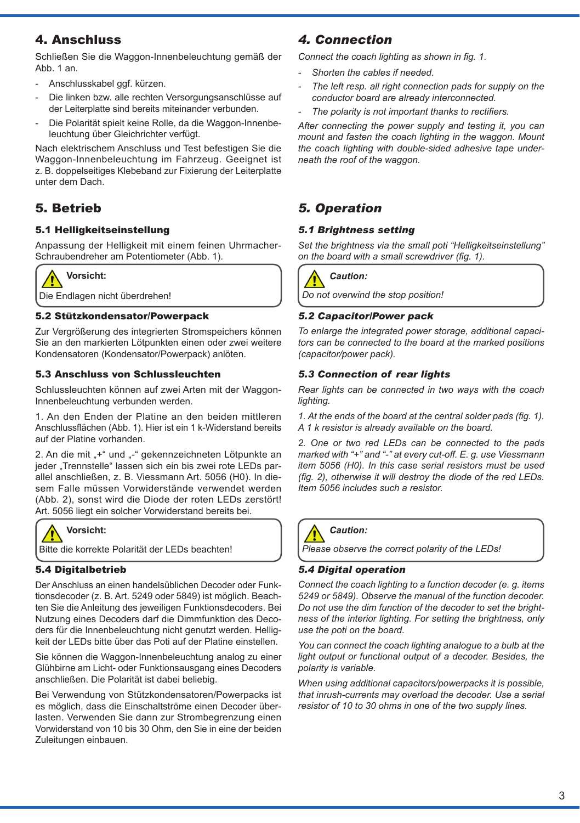## 4. Anschluss

Schließen Sie die Waggon-Innenbeleuchtung gemäß der Abb. 1 an.

- Anschlusskabel ggf. kürzen.
- Die linken bzw. alle rechten Versorgungsanschlüsse auf der Leiterplatte sind bereits miteinander verbunden.
- Die Polarität spielt keine Rolle, da die Waggon-Innenbeleuchtung über Gleichrichter verfügt.

Nach elektrischem Anschluss und Test befestigen Sie die Waggon-Innenbeleuchtung im Fahrzeug. Geeignet ist z. B. doppelseitiges Klebeband zur Fixierung der Leiterplatte unter dem Dach.

## 5. Betrieb

#### 5.1 Helligkeitseinstellung

Anpassung der Helligkeit mit einem feinen Uhrmacher-Schraubendreher am Potentiometer (Abb. 1).



**Vorsicht:**

Die Endlagen nicht überdrehen!

#### 5.2 Stützkondensator/Powerpack

Zur Vergrößerung des integrierten Stromspeichers können Sie an den markierten Lötpunkten einen oder zwei weitere Kondensatoren (Kondensator/Powerpack) anlöten.

#### 5.3 Anschluss von Schlussleuchten

Schlussleuchten können auf zwei Arten mit der Waggon-Innenbeleuchtung verbunden werden.

1. An den Enden der Platine an den beiden mittleren Anschlussflächen (Abb. 1). Hier ist ein 1 k-Widerstand bereits auf der Platine vorhanden.

2. An die mit "+" und "-" gekennzeichneten Lötpunkte an ieder "Trennstelle" lassen sich ein bis zwei rote LEDs parallel anschließen, z. B. Viessmann Art. 5056 (H0). In diesem Falle müssen Vorwiderstände verwendet werden (Abb. 2), sonst wird die Diode der roten LEDs zerstört! Art. 5056 liegt ein solcher Vorwiderstand bereits bei.



Bitte die korrekte Polarität der LEDs beachten!

#### 5.4 Digitalbetrieb

Der Anschluss an einen handelsüblichen Decoder oder Funktionsdecoder (z. B. Art. 5249 oder 5849) ist möglich. Beachten Sie die Anleitung des jeweiligen Funktionsdecoders. Bei Nutzung eines Decoders darf die Dimmfunktion des Decoders für die Innenbeleuchtung nicht genutzt werden. Helligkeit der LEDs bitte über das Poti auf der Platine einstellen.

Sie können die Waggon-Innenbeleuchtung analog zu einer Glühbirne am Licht- oder Funktionsausgang eines Decoders anschließen. Die Polarität ist dabei beliebig.

Bei Verwendung von Stützkondensatoren/Powerpacks ist es möglich, dass die Einschaltströme einen Decoder überlasten. Verwenden Sie dann zur Strombegrenzung einen Vorwiderstand von 10 bis 30 Ohm, den Sie in eine der beiden Zuleitungen einbauen.

## *4. Connection*

*Connect the coach lighting as shown in fig. 1.* 

- *- Shorten the cables if needed.*
- *- The left resp. all right connection pads for supply on the conductor board are already interconnected.*
- *- The polarity is not important thanks to rectifiers.*

*After connecting the power supply and testing it, you can mount and fasten the coach lighting in the waggon. Mount the coach lighting with double-sided adhesive tape underneath the roof of the waggon.* 

## *5. Operation*

#### *5.1 Brightness setting*

*Set the brightness via the small poti "Helligkeitseinstellung" on the board with a small screwdriver (fig. 1).* 



*Do not overwind the stop position!*

#### *5.2 Capacitor/Power pack*

*To enlarge the integrated power storage, additional capacitors can be connected to the board at the marked positions (capacitor/power pack).* 

#### *5.3 Connection of rear lights*

*Rear lights can be connected in two ways with the coach lighting.*

*1. At the ends of the board at the central solder pads (fig. 1). A 1 k resistor is already available on the board.*

*2. One or two red LEDs can be connected to the pads marked with "+" and "-" at every cut-off. E. g. use Viessmann item 5056 (H0). In this case serial resistors must be used (fig. 2), otherwise it will destroy the diode of the red LEDs. Item 5056 includes such a resistor.*



*Please observe the correct polarity of the LEDs!*

#### *5.4 Digital operation*

*Connect the coach lighting to a function decoder (e. g. items 5249 or 5849). Observe the manual of the function decoder. Do not use the dim function of the decoder to set the brightness of the interior lighting. For setting the brightness, only use the poti on the board.* 

*You can connect the coach lighting analogue to a bulb at the light output or functional output of a decoder. Besides, the polarity is variable.*

When using additional capacitors/powerpacks it is possible *that inrush-currents may overload the decoder. Use a serial resistor of 10 to 30 ohms in one of the two supply lines.*